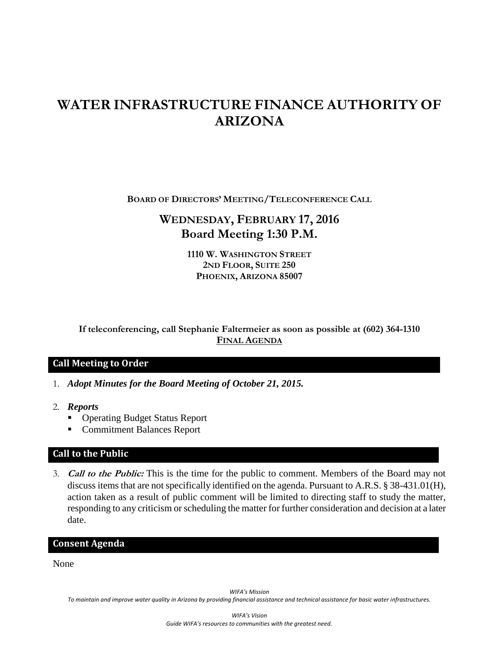# **WATER INFRASTRUCTURE FINANCE AUTHORITY OF ARIZONA**

**BOARD OF DIRECTORS' MEETING/TELECONFERENCE CALL**

## **WEDNESDAY, FEBRUARY 17, 2016 Board Meeting 1:30 P.M.**

**1110 W. WASHINGTON STREET 2ND FLOOR, SUITE 250 PHOENIX, ARIZONA 85007**

**If teleconferencing, call Stephanie Faltermeier as soon as possible at (602) 364-1310 FINAL AGENDA**

### **Call Meeting to Order**

- 1. *Adopt Minutes for the Board Meeting of October 21, 2015.*
- 2. *Reports*
	- Operating Budget Status Report
	- Commitment Balances Report

#### **Call to the Public**

3. **Call to the Public:** This is the time for the public to comment. Members of the Board may not discuss items that are not specifically identified on the agenda. Pursuant to A.R.S. § 38-431.01(H), action taken as a result of public comment will be limited to directing staff to study the matter, responding to any criticism or scheduling the matter for further consideration and decision at a later date.

#### **Consent Agenda**

None

*WIFA's Mission*

*To maintain and improve water quality in Arizona by providing financial assistance and technical assistance for basic water infrastructures.*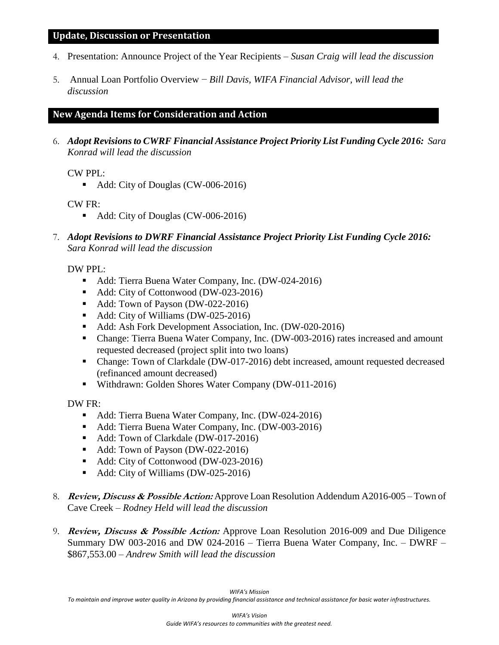#### **Update, Discussion or Presentation**

- 4. Presentation: Announce Project of the Year Recipients *Susan Craig will lead the discussion*
- 5. Annual Loan Portfolio Overview − *Bill Davis, WIFA Financial Advisor, will lead the discussion*

#### **New Agenda Items for Consideration and Action**

6. *Adopt Revisions to CWRF Financial Assistance Project Priority List Funding Cycle 2016: Sara Konrad will lead the discussion*

CW PPL:

Add: City of Douglas (CW-006-2016)

CW FR:

- Add: City of Douglas (CW-006-2016)
- 7. *Adopt Revisions to DWRF Financial Assistance Project Priority List Funding Cycle 2016: Sara Konrad will lead the discussion*

#### DW PPL:

- Add: Tierra Buena Water Company, Inc. (DW-024-2016)
- Add: City of Cottonwood (DW-023-2016)
- Add: Town of Payson (DW-022-2016)
- Add: City of Williams (DW-025-2016)
- Add: Ash Fork Development Association, Inc. (DW-020-2016)
- Change: Tierra Buena Water Company, Inc. (DW-003-2016) rates increased and amount requested decreased (project split into two loans)
- Change: Town of Clarkdale (DW-017-2016) debt increased, amount requested decreased (refinanced amount decreased)
- Withdrawn: Golden Shores Water Company (DW-011-2016)

DW FR:

- Add: Tierra Buena Water Company, Inc. (DW-024-2016)
- Add: Tierra Buena Water Company, Inc. (DW-003-2016)
- Add: Town of Clarkdale (DW-017-2016)
- Add: Town of Payson (DW-022-2016)
- Add: City of Cottonwood (DW-023-2016)
- Add: City of Williams (DW-025-2016)
- 8. **Review, Discuss & Possible Action:** Approve Loan Resolution Addendum A2016-005 Town of Cave Creek – *Rodney Held will lead the discussion*
- 9. **Review, Discuss & Possible Action:** Approve Loan Resolution 2016-009 and Due Diligence Summary DW 003-2016 and DW 024-2016 – Tierra Buena Water Company, Inc. – DWRF – \$867,553.00 *– Andrew Smith will lead the discussion*

*To maintain and improve water quality in Arizona by providing financial assistance and technical assistance for basic water infrastructures.*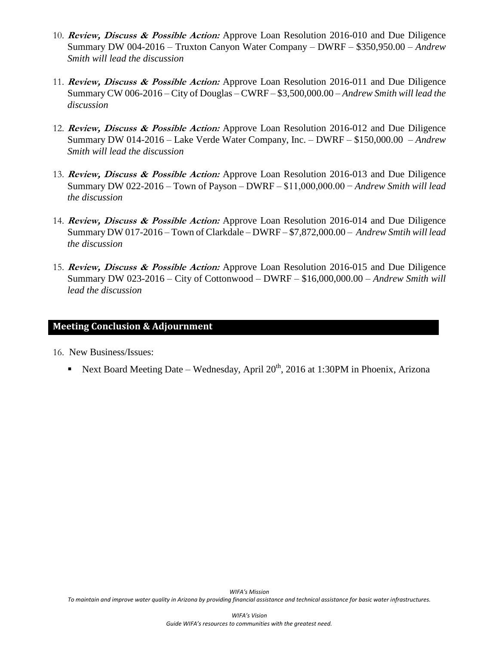- 10. **Review, Discuss & Possible Action:** Approve Loan Resolution 2016-010 and Due Diligence Summary DW 004-2016 – Truxton Canyon Water Company – DWRF – \$350,950.00 *– Andrew Smith will lead the discussion*
- 11. **Review, Discuss & Possible Action:** Approve Loan Resolution 2016-011 and Due Diligence Summary CW 006-2016 – City of Douglas – CWRF – \$3,500,000.00 *– Andrew Smith will lead the discussion*
- 12. **Review, Discuss & Possible Action:** Approve Loan Resolution 2016-012 and Due Diligence Summary DW 014-2016 – Lake Verde Water Company, Inc. – DWRF – \$150,000.00 *– Andrew Smith will lead the discussion*
- 13. **Review, Discuss & Possible Action:** Approve Loan Resolution 2016-013 and Due Diligence Summary DW 022-2016 – Town of Payson – DWRF – \$11,000,000.00 − *Andrew Smith will lead the discussion*
- 14. **Review, Discuss & Possible Action:** Approve Loan Resolution 2016-014 and Due Diligence Summary DW 017-2016 – Town of Clarkdale – DWRF – \$7,872,000.00 *– Andrew Smtih will lead the discussion*
- 15. **Review, Discuss & Possible Action:** Approve Loan Resolution 2016-015 and Due Diligence Summary DW 023-2016 – City of Cottonwood – DWRF – \$16,000,000.00 *– Andrew Smith will lead the discussion*

#### **Meeting Conclusion & Adjournment**

16. New Business/Issues:

Next Board Meeting Date – Wednesday, April  $20^{th}$ , 2016 at 1:30PM in Phoenix, Arizona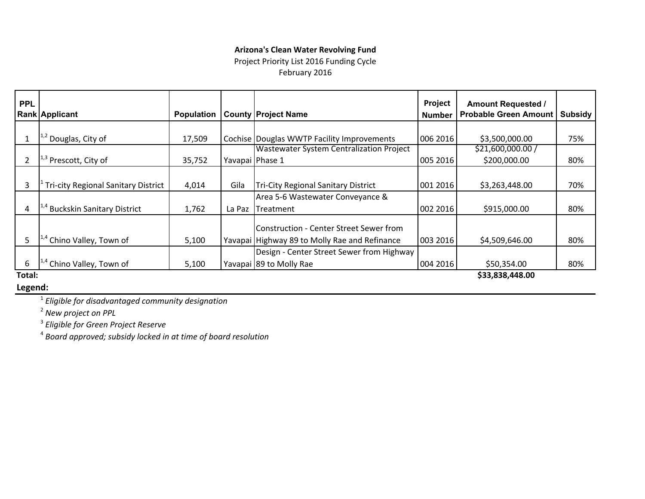#### **Arizona's Clean Water Revolving Fund**

Project Priority List 2016 Funding Cycle

February 2016

| <b>PPL</b> |                                            |                   |        |                                               | Project       | <b>Amount Requested /</b>    |         |
|------------|--------------------------------------------|-------------------|--------|-----------------------------------------------|---------------|------------------------------|---------|
|            | <b>Rank Applicant</b>                      | <b>Population</b> |        | <b>County Project Name</b>                    | <b>Number</b> | <b>Probable Green Amount</b> | Subsidy |
|            |                                            |                   |        |                                               |               |                              |         |
|            | <sup>1,2</sup> Douglas, City of            | 17,509            |        | Cochise   Douglas WWTP Facility Improvements  | 006 2016      | \$3,500,000.00               | 75%     |
|            |                                            |                   |        | Wastewater System Centralization Project      |               | \$21,600,000.00 /            |         |
|            | Prescott, City of                          | 35,752            |        | Yavapai Phase 1                               | 005 2016      | \$200,000.00                 | 80%     |
|            |                                            |                   |        |                                               |               |                              |         |
|            | <b>Tri-city Regional Sanitary District</b> | 4,014             | Gila   | Tri-City Regional Sanitary District           | 001 2016      | \$3,263,448.00               | 70%     |
|            |                                            |                   |        | Area 5-6 Wastewater Conveyance &              |               |                              |         |
| 4          | <b>Buckskin Sanitary District</b>          | 1,762             | La Paz | Treatment                                     | 002 2016      | \$915,000.00                 | 80%     |
|            |                                            |                   |        | Construction - Center Street Sewer from       |               |                              |         |
| 5          | <sup>†</sup> Chino Valley, Town of         | 5,100             |        | Yavapai Highway 89 to Molly Rae and Refinance | 003 2016      | \$4,509,646.00               | 80%     |
|            |                                            |                   |        | Design - Center Street Sewer from Highway     |               |                              |         |
| 6          | Chino Valley, Town of                      | 5,100             |        | Yavapai 89 to Molly Rae                       | 004 2016      | \$50,354.00                  | 80%     |
|            |                                            |                   |        |                                               |               | $\lambda$ aa aaa ssa aa      |         |

**Total:**

**\$33,838,448.00** 

**Legend:**

1 *Eligible for disadvantaged community designation*

2 *New project on PPL*

3 *Eligible for Green Project Reserve*

4 *Board approved; subsidy locked in at time of board resolution*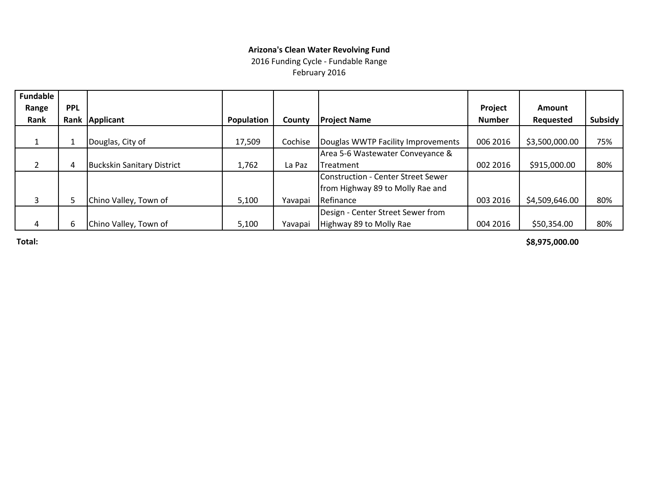#### **Arizona's Clean Water Revolving Fund**

2016 Funding Cycle ‐ Fundable Range February 2016

| <b>Fundable</b> |            |                                   |                   |         |                                    |               |                |         |
|-----------------|------------|-----------------------------------|-------------------|---------|------------------------------------|---------------|----------------|---------|
| Range           | <b>PPL</b> |                                   |                   |         |                                    | Project       | Amount         |         |
| Rank            |            | Rank Applicant                    | <b>Population</b> | County  | <b>Project Name</b>                | <b>Number</b> | Requested      | Subsidy |
|                 |            |                                   |                   |         |                                    |               |                |         |
|                 |            | Douglas, City of                  | 17,509            | Cochise | Douglas WWTP Facility Improvements | 006 2016      | \$3,500,000.00 | 75%     |
|                 |            |                                   |                   |         | Area 5-6 Wastewater Conveyance &   |               |                |         |
| $\overline{2}$  | 4          | <b>Buckskin Sanitary District</b> | 1,762             | La Paz  | Treatment                          | 002 2016      | \$915,000.00   | 80%     |
|                 |            |                                   |                   |         | Construction - Center Street Sewer |               |                |         |
|                 |            |                                   |                   |         | from Highway 89 to Molly Rae and   |               |                |         |
| 3               | ∍          | Chino Valley, Town of             | 5,100             | Yavapai | Refinance                          | 003 2016      | \$4,509,646.00 | 80%     |
|                 |            |                                   |                   |         | Design - Center Street Sewer from  |               |                |         |
| 4               | 6          | Chino Valley, Town of             | 5,100             | Yavapai | Highway 89 to Molly Rae            | 004 2016      | \$50,354.00    | 80%     |

**Total:**

**\$8,975,000.00**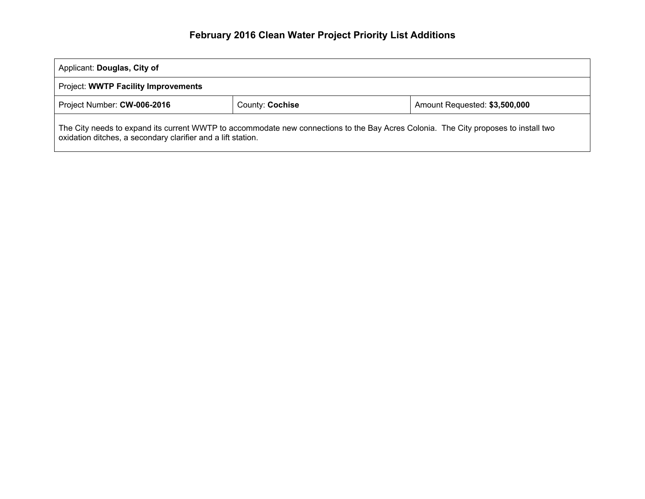# **February 2016 Clean Water Project Priority List Additions**

| Applicant: Douglas, City of                                                                                                                                                                         |  |  |  |  |  |  |  |
|-----------------------------------------------------------------------------------------------------------------------------------------------------------------------------------------------------|--|--|--|--|--|--|--|
| Project: WWTP Facility Improvements                                                                                                                                                                 |  |  |  |  |  |  |  |
| Amount Requested: \$3,500,000<br>Project Number: CW-006-2016<br>County: Cochise                                                                                                                     |  |  |  |  |  |  |  |
| The City needs to expand its current WWTP to accommodate new connections to the Bay Acres Colonia. The City proposes to install two<br>oxidation ditches, a secondary clarifier and a lift station. |  |  |  |  |  |  |  |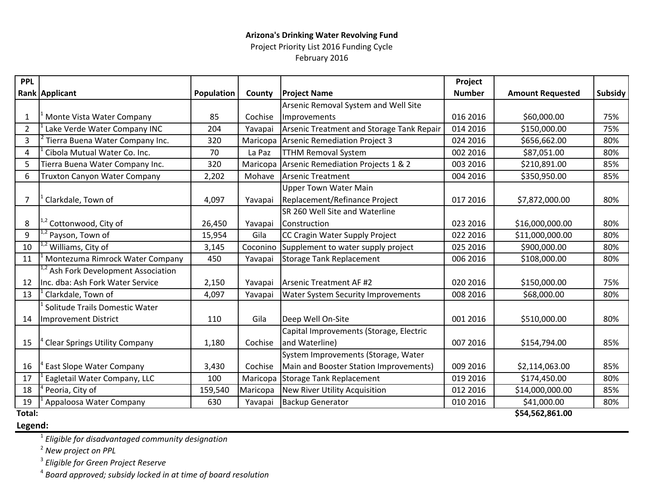### **Arizona's Drinking Water Revolving Fund** Project Priority List 2016 Funding Cycle

February 2016

| <b>PPL</b>     |                                            |            |          |                                           | Project       |                         |                |
|----------------|--------------------------------------------|------------|----------|-------------------------------------------|---------------|-------------------------|----------------|
|                | <b>Rank Applicant</b>                      | Population | County   | <b>Project Name</b>                       | <b>Number</b> | <b>Amount Requested</b> | <b>Subsidy</b> |
|                |                                            |            |          | Arsenic Removal System and Well Site      |               |                         |                |
| 1              | Monte Vista Water Company                  | 85         | Cochise  | Improvements                              | 016 2016      | \$60,000.00             | 75%            |
| $\overline{2}$ | Lake Verde Water Company INC               | 204        | Yavapai  | Arsenic Treatment and Storage Tank Repair | 014 2016      | \$150,000.00            | 75%            |
| 3              | Tierra Buena Water Company Inc.            | 320        | Maricopa | <b>Arsenic Remediation Project 3</b>      | 024 2016      | \$656,662.00            | 80%            |
| 4              | Cibola Mutual Water Co. Inc.               | 70         | La Paz   | <b>TTHM Removal System</b>                | 002 2016      | \$87,051.00             | 80%            |
| 5              | Tierra Buena Water Company Inc.            | 320        | Maricopa | Arsenic Remediation Projects 1 & 2        | 003 2016      | \$210,891.00            | 85%            |
| 6              | <b>Truxton Canyon Water Company</b>        | 2,202      | Mohave   | <b>Arsenic Treatment</b>                  | 004 2016      | \$350,950.00            | 85%            |
|                |                                            |            |          | <b>Upper Town Water Main</b>              |               |                         |                |
| $\overline{7}$ | Clarkdale, Town of                         | 4,097      | Yavapai  | Replacement/Refinance Project             | 017 2016      | \$7,872,000.00          | 80%            |
|                |                                            |            |          | SR 260 Well Site and Waterline            |               |                         |                |
| 8              | <sup>1,2</sup> Cottonwood, City of         | 26,450     | Yavapai  | Construction                              | 023 2016      | \$16,000,000.00         | 80%            |
| 9              | Payson, Town of                            | 15,954     | Gila     | CC Cragin Water Supply Project            | 022 2016      | \$11,000,000.00         | 80%            |
| 10             | <sup>2</sup> Williams, City of             | 3,145      | Coconino | Supplement to water supply project        | 025 2016      | \$900,000.00            | 80%            |
| 11             | Montezuma Rimrock Water Company            | 450        | Yavapai  | <b>Storage Tank Replacement</b>           | 006 2016      | \$108,000.00            | 80%            |
|                | Ash Fork Development Association           |            |          |                                           |               |                         |                |
| 12             | Inc. dba: Ash Fork Water Service           | 2,150      | Yavapai  | Arsenic Treatment AF #2                   | 020 2016      | \$150,000.00            | 75%            |
| 13             | Clarkdale, Town of                         | 4,097      | Yavapai  | <b>Water System Security Improvements</b> | 008 2016      | \$68,000.00             | 80%            |
|                | Solitude Trails Domestic Water             |            |          |                                           |               |                         |                |
| 14             | Improvement District                       | 110        | Gila     | Deep Well On-Site                         | 001 2016      | \$510,000.00            | 80%            |
|                |                                            |            |          | Capital Improvements (Storage, Electric   |               |                         |                |
| 15             | <sup>t</sup> Clear Springs Utility Company | 1,180      | Cochise  | and Waterline)                            | 007 2016      | \$154,794.00            | 85%            |
|                |                                            |            |          | System Improvements (Storage, Water       |               |                         |                |
| 16             | East Slope Water Company                   | 3,430      | Cochise  | Main and Booster Station Improvements)    | 009 2016      | \$2,114,063.00          | 85%            |
| 17             | Eagletail Water Company, LLC               | 100        | Maricopa | <b>Storage Tank Replacement</b>           | 019 2016      | \$174,450.00            | 80%            |
| 18             | Peoria, City of                            | 159,540    | Maricopa | New River Utility Acquisition             | 012 2016      | \$14,000,000.00         | 85%            |
| 19             | Appaloosa Water Company                    | 630        | Yavapai  | <b>Backup Generator</b>                   | 010 2016      | \$41,000.00             | 80%            |
| Total:         |                                            |            |          |                                           |               | \$54,562,861.00         |                |

### **Legend:**

1 *Eligible for disadvantaged community designation*

2 *New project on PPL*

3 *Eligible for Green Project Reserve*

4 *Board approved; subsidy locked in at time of board resolution*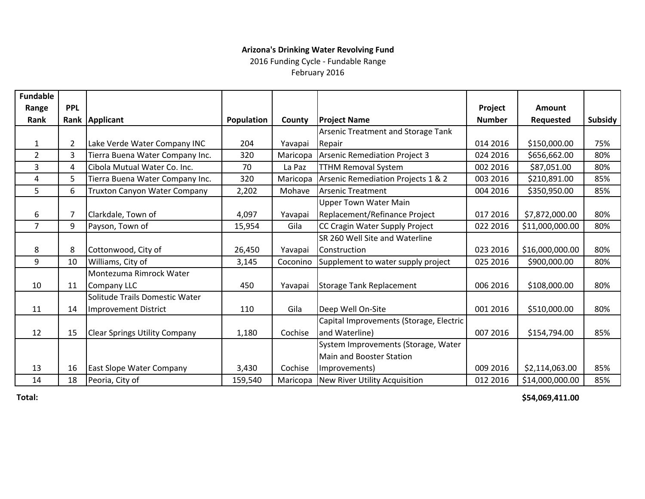### **Arizona's Drinking Water Revolving Fund**

2016 Funding Cycle ‐ Fundable Range

February 2016

| <b>Fundable</b> |                |                                      |            |          |                                           |               |                 |                |
|-----------------|----------------|--------------------------------------|------------|----------|-------------------------------------------|---------------|-----------------|----------------|
| Range           | <b>PPL</b>     |                                      |            |          |                                           | Project       | Amount          |                |
| Rank            |                | Rank Applicant                       | Population | County   | <b>Project Name</b>                       | <b>Number</b> | Requested       | <b>Subsidy</b> |
|                 |                |                                      |            |          | <b>Arsenic Treatment and Storage Tank</b> |               |                 |                |
| 1               | $\overline{2}$ | Lake Verde Water Company INC         | 204        | Yavapai  | Repair                                    | 014 2016      | \$150,000.00    | 75%            |
| $\overline{2}$  | 3              | Tierra Buena Water Company Inc.      | 320        | Maricopa | Arsenic Remediation Project 3             | 024 2016      | \$656,662.00    | 80%            |
| 3               | 4              | Cibola Mutual Water Co. Inc.         | 70         | La Paz   | <b>TTHM Removal System</b>                | 002 2016      | \$87,051.00     | 80%            |
| 4               | 5              | Tierra Buena Water Company Inc.      | 320        | Maricopa | Arsenic Remediation Projects 1 & 2        | 003 2016      | \$210,891.00    | 85%            |
| 5               | 6              | <b>Truxton Canyon Water Company</b>  | 2,202      | Mohave   | <b>Arsenic Treatment</b>                  | 004 2016      | \$350,950.00    | 85%            |
|                 |                |                                      |            |          | <b>Upper Town Water Main</b>              |               |                 |                |
| 6               | 7              | Clarkdale, Town of                   | 4,097      | Yavapai  | Replacement/Refinance Project             | 017 2016      | \$7,872,000.00  | 80%            |
| $\overline{7}$  | 9              | Payson, Town of                      | 15,954     | Gila     | CC Cragin Water Supply Project            | 022 2016      | \$11,000,000.00 | 80%            |
|                 |                |                                      |            |          | SR 260 Well Site and Waterline            |               |                 |                |
| 8               | 8              | Cottonwood, City of                  | 26,450     | Yavapai  | <b>Construction</b>                       | 023 2016      | \$16,000,000.00 | 80%            |
| 9               | 10             | Williams, City of                    | 3,145      | Coconino | Supplement to water supply project        | 025 2016      | \$900,000.00    | 80%            |
|                 |                | Montezuma Rimrock Water              |            |          |                                           |               |                 |                |
| 10              | 11             | Company LLC                          | 450        | Yavapai  | Storage Tank Replacement                  | 006 2016      | \$108,000.00    | 80%            |
|                 |                | Solitude Trails Domestic Water       |            |          |                                           |               |                 |                |
| 11              | 14             | Improvement District                 | 110        | Gila     | Deep Well On-Site                         | 001 2016      | \$510,000.00    | 80%            |
|                 |                |                                      |            |          | Capital Improvements (Storage, Electric   |               |                 |                |
| 12              | 15             | <b>Clear Springs Utility Company</b> | 1,180      | Cochise  | and Waterline)                            | 007 2016      | \$154,794.00    | 85%            |
|                 |                |                                      |            |          | System Improvements (Storage, Water       |               |                 |                |
|                 |                |                                      |            |          | <b>Main and Booster Station</b>           |               |                 |                |
| 13              | 16             | <b>East Slope Water Company</b>      | 3,430      | Cochise  | Improvements)                             | 009 2016      | \$2,114,063.00  | 85%            |
| 14              | 18             | Peoria, City of                      | 159,540    | Maricopa | New River Utility Acquisition             | 012 2016      | \$14,000,000.00 | 85%            |

**Total:**

**\$54,069,411.00**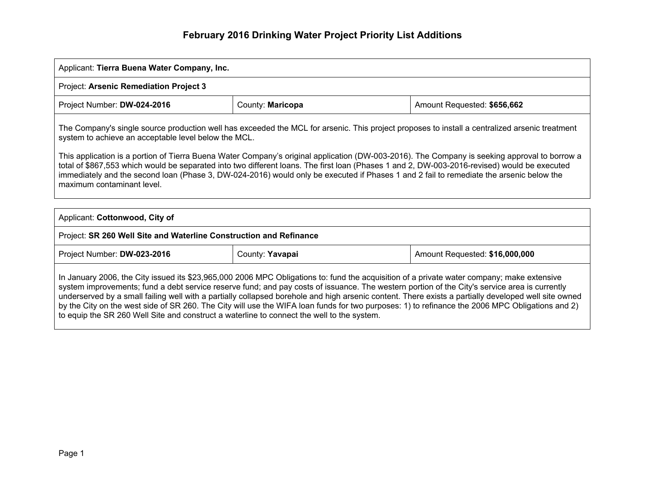# **February 2016 Drinking Water Project Priority List Additions**

| Applicant: Tierra Buena Water Company, Inc.                                                                                                                                                                                                                                                                                                                                                                                                                                                                                                                                                                                                                                                          |  |  |  |  |  |  |  |  |
|------------------------------------------------------------------------------------------------------------------------------------------------------------------------------------------------------------------------------------------------------------------------------------------------------------------------------------------------------------------------------------------------------------------------------------------------------------------------------------------------------------------------------------------------------------------------------------------------------------------------------------------------------------------------------------------------------|--|--|--|--|--|--|--|--|
| Project: Arsenic Remediation Project 3                                                                                                                                                                                                                                                                                                                                                                                                                                                                                                                                                                                                                                                               |  |  |  |  |  |  |  |  |
| Project Number: DW-024-2016<br>County: Maricopa<br>Amount Requested: \$656,662                                                                                                                                                                                                                                                                                                                                                                                                                                                                                                                                                                                                                       |  |  |  |  |  |  |  |  |
| The Company's single source production well has exceeded the MCL for arsenic. This project proposes to install a centralized arsenic treatment<br>system to achieve an acceptable level below the MCL.<br>This application is a portion of Tierra Buena Water Company's original application (DW-003-2016). The Company is seeking approval to borrow a<br>total of \$867,553 which would be separated into two different loans. The first loan (Phases 1 and 2, DW-003-2016-revised) would be executed<br>immediately and the second loan (Phase 3, DW-024-2016) would only be executed if Phases 1 and 2 fail to remediate the arsenic below the<br>maximum contaminant level.                     |  |  |  |  |  |  |  |  |
|                                                                                                                                                                                                                                                                                                                                                                                                                                                                                                                                                                                                                                                                                                      |  |  |  |  |  |  |  |  |
| Applicant: Cottonwood, City of                                                                                                                                                                                                                                                                                                                                                                                                                                                                                                                                                                                                                                                                       |  |  |  |  |  |  |  |  |
| Project: SR 260 Well Site and Waterline Construction and Refinance                                                                                                                                                                                                                                                                                                                                                                                                                                                                                                                                                                                                                                   |  |  |  |  |  |  |  |  |
| Project Number: DW-023-2016<br>County: Yavapai<br>Amount Requested: \$16,000,000                                                                                                                                                                                                                                                                                                                                                                                                                                                                                                                                                                                                                     |  |  |  |  |  |  |  |  |
| In January 2006, the City issued its \$23,965,000 2006 MPC Obligations to: fund the acquisition of a private water company; make extensive<br>system improvements; fund a debt service reserve fund; and pay costs of issuance. The western portion of the City's service area is currently<br>underserved by a small failing well with a partially collapsed borehole and high arsenic content. There exists a partially developed well site owned<br>by the City on the west side of SR 260. The City will use the WIFA loan funds for two purposes: 1) to refinance the 2006 MPC Obligations and 2)<br>to equip the SR 260 Well Site and construct a waterline to connect the well to the system. |  |  |  |  |  |  |  |  |